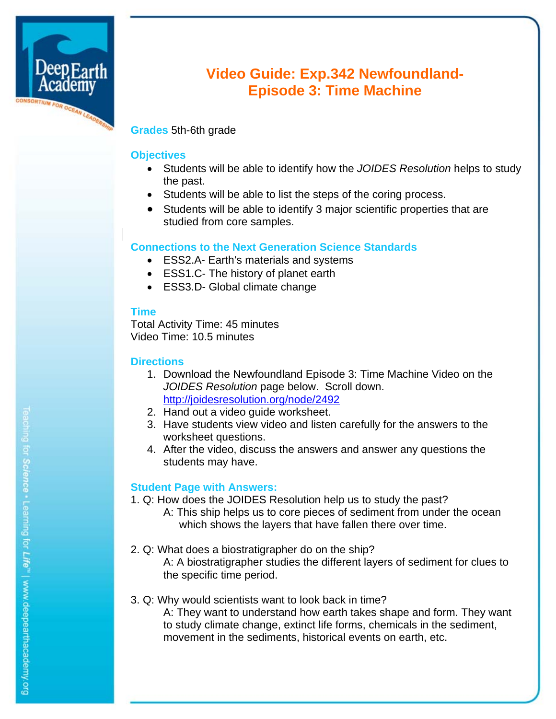

# **Video Guide: Exp.342 Newfoundland-Episode 3: Time Machine**

## **Grades** 5th-6th grade

### **Objectives**

- Students will be able to identify how the *JOIDES Resolution* helps to study the past.
- Students will be able to list the steps of the coring process.
- Students will be able to identify 3 major scientific properties that are studied from core samples.

## **Connections to the Next Generation Science Standards**

- ESS2.A- Earth's materials and systems
- ESS1.C- The history of planet earth
- ESS3.D- Global climate change

#### **Time**

Total Activity Time: 45 minutes Video Time: 10.5 minutes

#### **Directions**

- 1. Download the Newfoundland Episode 3: Time Machine Video on the *JOIDES Resolution* page below. Scroll down. http://joidesresolution.org/node/2492
- 2. Hand out a video guide worksheet.
- 3. Have students view video and listen carefully for the answers to the worksheet questions.
- 4. After the video, discuss the answers and answer any questions the students may have.

## **Student Page with Answers:**

- 1. Q: How does the JOIDES Resolution help us to study the past?
	- A: This ship helps us to core pieces of sediment from under the ocean which shows the layers that have fallen there over time.
- 2. Q: What does a biostratigrapher do on the ship? A: A biostratigrapher studies the different layers of sediment for clues to the specific time period.

#### 3. Q: Why would scientists want to look back in time? A: They want to understand how earth takes shape and form. They want to study climate change, extinct life forms, chemicals in the sediment, movement in the sediments, historical events on earth, etc.